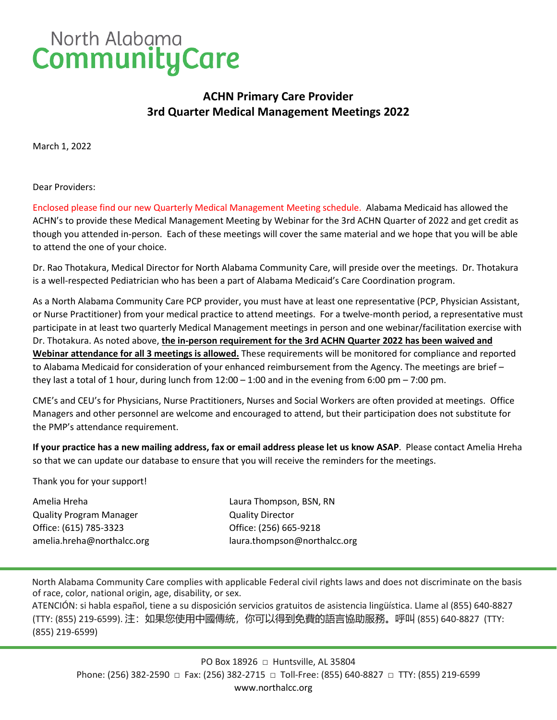## North Alabama<br>Community Care

### **ACHN Primary Care Provider 3rd Quarter Medical Management Meetings 2022**

March 1, 2022

Dear Providers:

Enclosed please find our new Quarterly Medical Management Meeting schedule. Alabama Medicaid has allowed the ACHN's to provide these Medical Management Meeting by Webinar for the 3rd ACHN Quarter of 2022 and get credit as though you attended in-person. Each of these meetings will cover the same material and we hope that you will be able to attend the one of your choice.

Dr. Rao Thotakura, Medical Director for North Alabama Community Care, will preside over the meetings. Dr. Thotakura is a well-respected Pediatrician who has been a part of Alabama Medicaid's Care Coordination program.

As a North Alabama Community Care PCP provider, you must have at least one representative (PCP, Physician Assistant, or Nurse Practitioner) from your medical practice to attend meetings. For a twelve-month period, a representative must participate in at least two quarterly Medical Management meetings in person and one webinar/facilitation exercise with Dr. Thotakura. As noted above, **the in-person requirement for the 3rd ACHN Quarter 2022 has been waived and Webinar attendance for all 3 meetings is allowed.** These requirements will be monitored for compliance and reported to Alabama Medicaid for consideration of your enhanced reimbursement from the Agency. The meetings are brief – they last a total of 1 hour, during lunch from  $12:00 - 1:00$  and in the evening from 6:00 pm – 7:00 pm.

CME's and CEU's for Physicians, Nurse Practitioners, Nurses and Social Workers are often provided at meetings. Office Managers and other personnel are welcome and encouraged to attend, but their participation does not substitute for the PMP's attendance requirement.

**If your practice has a new mailing address, fax or email address please let us know ASAP**. Please contact Amelia Hreha so that we can update our database to ensure that you will receive the reminders for the meetings.

Thank you for your support!

Amelia Hreha Laura Thompson, BSN, RN Quality Program Manager Quality Director Office: (615) 785-3323 Office: (256) 665-9218

amelia.hreha@northalcc.org laura.thompson@northalcc.org

North Alabama Community Care complies with applicable Federal civil rights laws and does not discriminate on the basis of race, color, national origin, age, disability, or sex.

ATENCIÓN: si habla español, tiene a su disposición servicios gratuitos de asistencia lingüística. Llame al (855) 640-8827 (TTY: (855) 219-6599). 注:如果您使用中國傳統,你可以得到免費的語言協助服務。呼叫 (855) 640-8827 (TTY: (855) 219-6599)